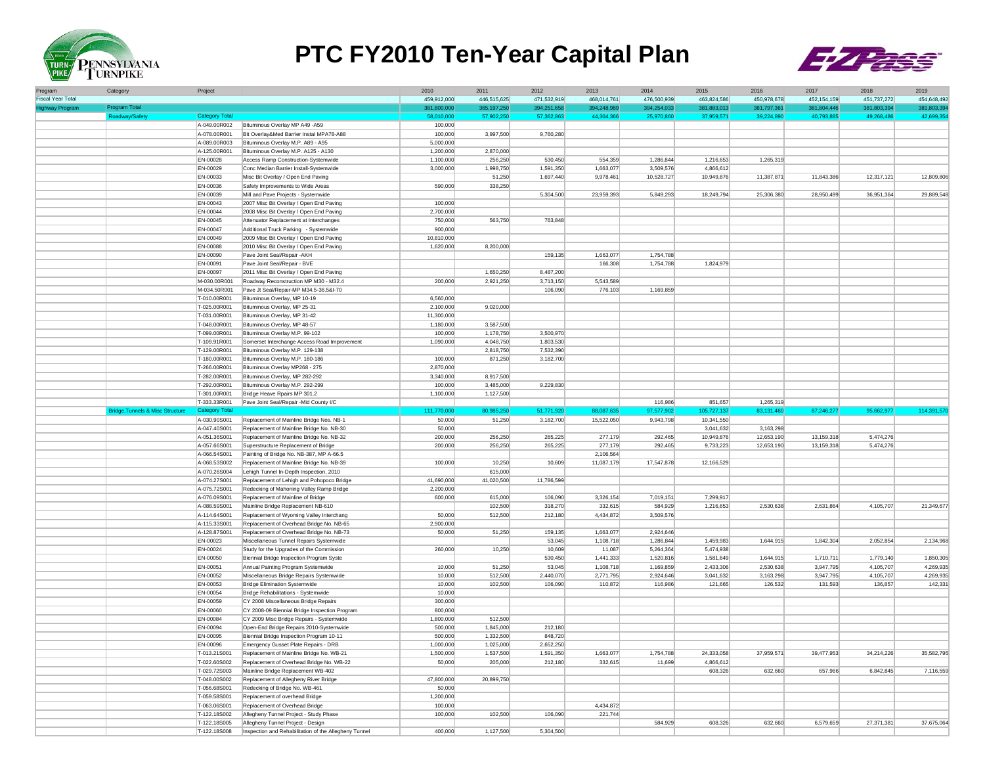

## **PTC FY2010 Ten-Year Capital Plan**



| Program                  | Category                                    | Project                      |                                                                                      | 2010                 | 2011                   | 2012                   | 2013                   | 2014                   | 2015                    | 2016                   | 2017                   | 2018                   | 2019                   |
|--------------------------|---------------------------------------------|------------------------------|--------------------------------------------------------------------------------------|----------------------|------------------------|------------------------|------------------------|------------------------|-------------------------|------------------------|------------------------|------------------------|------------------------|
| <b>Fiscal Year Total</b> |                                             |                              |                                                                                      | 459,912,000          | 446,515,625            | 471,532,919            | 468,014,761            | 476,500,939            | 463,824,586             | 450,978,678            | 452, 154, 159          | 451,737,272            | 454,648,492            |
| <b>Highway Progra</b>    | <b>Program Tota</b>                         |                              |                                                                                      | 381,800,000          | 365,197,250            | 394,251,658            | 394.248.989            | 394,254,033            | 381,883,013             | 381,797,361            | 381,804,446            | 381.803.39             | 381.803.39             |
|                          | Roadway/Safety                              | <b>Category Total</b>        |                                                                                      | 58,010,000           | 57,902,250             | 57,362,863             | 44,304,366             | 25,970,860             | 37,959,571              | 39,224,890             | 40,793,885             | 49,268,486             | 42,699,354             |
|                          |                                             | A-049.00R002<br>A-078.00R001 | Bituminous Overlay MP A49 -A59<br>Bit Overlay&Med Barrier Instal MPA78-A88           | 100,000<br>100,000   | 3,997,500              | 9,760,280              |                        |                        |                         |                        |                        |                        |                        |
|                          |                                             | A-089,00R003                 | Bituminous Overlay M.P. A89 - A95                                                    | 5,000,000            |                        |                        |                        |                        |                         |                        |                        |                        |                        |
|                          |                                             | A-125.00R001                 | Bituminous Overlay M.P. A125 - A130                                                  | 1,200,000            | 2,870,000              |                        |                        |                        |                         |                        |                        |                        |                        |
|                          |                                             | EN-00028                     | Access Ramp Construction-Systemwide                                                  | 1,100,000            | 256,250                | 530.450                | 554,359                | 1,286,844              | 1.216.653               | 1,265,319              |                        |                        |                        |
|                          |                                             | EN-00029                     | Conc Median Barrier Install-Systemwide                                               | 3,000,000            | 1,998,750              | 1,591,350              | 1.663.077              | 3,509,576              | 4.866.612               |                        |                        |                        |                        |
|                          |                                             | EN-00033                     | Misc Bit Overlay / Open End Paving                                                   |                      | 51,250                 | 1,697,440              | 9,978,461              | 10,528,727             | 10,949,876              | 11,387,871             | 11,843,386             | 12,317,121             | 12,809,806             |
|                          |                                             | EN-00036<br>EN-00039         | Safety Improvements to Wide Areas<br>Mill and Pave Projects - Systemwide             | 590,000              | 338,250                | 5,304,500              | 23,959,393             | 5,849,293              | 18,249,794              | 25,306,380             | 28,950,499             | 36,951,364             | 29,889,548             |
|                          |                                             | EN-00043                     | 2007 Misc Bit Overlay / Open End Paving                                              | 100,000              |                        |                        |                        |                        |                         |                        |                        |                        |                        |
|                          |                                             | EN-00044                     | 2008 Misc Bit Overlay / Open End Paving                                              | 2,700,000            |                        |                        |                        |                        |                         |                        |                        |                        |                        |
|                          |                                             | EN-00045                     | Attenuator Replacement at Interchanges                                               | 750,000              | 563,750                | 763,848                |                        |                        |                         |                        |                        |                        |                        |
|                          |                                             | EN-00047                     | Additional Truck Parking - Systemwide                                                | 900,000              |                        |                        |                        |                        |                         |                        |                        |                        |                        |
|                          |                                             | EN-00049                     | 2009 Misc Bit Overlay / Open End Paving                                              | 10,810,000           |                        |                        |                        |                        |                         |                        |                        |                        |                        |
|                          |                                             | EN-00088                     | 2010 Misc Bit Overlay / Open End Paving                                              | 1,620,000            | 8,200,000              |                        |                        |                        |                         |                        |                        |                        |                        |
|                          |                                             | EN-00090                     | Pave Joint Seal/Repair - AKH                                                         |                      |                        | 159,135                | 1.663.077              | 1.754.788              |                         |                        |                        |                        |                        |
|                          |                                             | EN-00091<br>EN-00097         | Pave Joint Seal/Repair - BVE<br>2011 Misc Bit Overlay / Open End Paving              |                      | 1,650,250              | 8,487,200              | 166,308                | 1,754,788              | 1.824.979               |                        |                        |                        |                        |
|                          |                                             | M-030.00R001                 | Roadway Reconstruction MP M30 - M32.4                                                | 200,000              | 2,921,250              | 3.713.150              | 5.543.589              |                        |                         |                        |                        |                        |                        |
|                          |                                             | M-034.50R001                 | Pave Jt Seal/Repair-MP M34.5-36.5&I-70                                               |                      |                        | 106,090                | 776,103                | 1,169,859              |                         |                        |                        |                        |                        |
|                          |                                             | T-010.00R001                 | Bituminous Overlay, MP 10-19                                                         | 6,560,000            |                        |                        |                        |                        |                         |                        |                        |                        |                        |
|                          |                                             | T-025,00R001                 | Bituminous Overlay, MP 25-31                                                         | 2,100,000            | 9,020,000              |                        |                        |                        |                         |                        |                        |                        |                        |
|                          |                                             | T-031.00R001                 | Bituminous Overlay, MP 31-42                                                         | 11,300,000           |                        |                        |                        |                        |                         |                        |                        |                        |                        |
|                          |                                             | T-048.00R001                 | Bituminous Overlay, MP 48-57                                                         | 1,180,000            | 3,587,500              |                        |                        |                        |                         |                        |                        |                        |                        |
|                          |                                             | T-099.00R001                 | Bituminous Overlay M.P. 99-102                                                       | 100,000              | 1.178.750<br>4.048.750 | 3.500.970<br>1.803.530 |                        |                        |                         |                        |                        |                        |                        |
|                          |                                             | T-109.91R001<br>T-129.00R001 | Somerset Interchange Access Road Improvement                                         | 1,090,000            | 2,818,750              | 7,532,390              |                        |                        |                         |                        |                        |                        |                        |
|                          |                                             | T-180.00R001                 | Bituminous Overlay M.P. 129-138<br>Bituminous Overlay M.P. 180-186                   | 100,000              | 871,250                | 3,182,700              |                        |                        |                         |                        |                        |                        |                        |
|                          |                                             | T-266,00R001                 | Bituminous Overlay MP268 - 275                                                       | 2,870,000            |                        |                        |                        |                        |                         |                        |                        |                        |                        |
|                          |                                             | T-282.00R001                 | Bituminous Overlay, MP 282-292                                                       | 3.340.000            | 8.917.500              |                        |                        |                        |                         |                        |                        |                        |                        |
|                          |                                             | T-292,00R001                 | Bituminous Overlay M.P. 292-299                                                      | 100,000              | 3.485.000              | 9,229,830              |                        |                        |                         |                        |                        |                        |                        |
|                          |                                             | T-301.00R001                 | Bridge Heave Rpairs MP 301.2                                                         | 1,100,000            | 1,127,500              |                        |                        |                        |                         |                        |                        |                        |                        |
|                          |                                             | T-333.33R001                 | Pave Joint Seal/Repair -Mid County I/C                                               |                      |                        |                        |                        | 116,986                | 851.657                 | 1.265.319              |                        |                        |                        |
|                          |                                             |                              |                                                                                      |                      |                        |                        |                        |                        |                         |                        |                        |                        |                        |
|                          | <b>Bridge, Tunnels &amp; Misc Structure</b> | <b>Category Tota</b>         |                                                                                      | 111.770.000          | 80.985.250             | 51.771.920             | 88.087.635             | 97.577.902             | 105.727.137             | 83.131.460             | 87,246,277             | 95,662,977             | 114,391,57             |
|                          |                                             | A-030.90S001<br>A-047,40S001 | Replacement of Mainline Bridge Nos. NB-1<br>Replacement of Mainline Bridge No. NB-30 | 50,000<br>50.000     | 51,250                 | 3,182,700              | 15,522,050             | 9,943,798              | 10.341.550<br>3.041.632 | 3.163.298              |                        |                        |                        |
|                          |                                             | A-051.36S001                 | Replacement of Mainline Bridge No. NB-32                                             | 200,000              | 256,250                | 265.225                | 277.179                | 292.465                | 10,949,876              | 12,653,190             | 13.159.318             | 5.474.276              |                        |
|                          |                                             | A-057,66S001                 | Superstructure Replacement of Bridge                                                 | 200,000              | 256.250                | 265.225                | 277.179                | 292,465                | 9,733,223               | 12,653,190             | 13,159,318             | 5,474,276              |                        |
|                          |                                             | A-066.54S001                 | Painting of Bridge No. NB-387, MP A-66.5                                             |                      |                        |                        | 2,106,564              |                        |                         |                        |                        |                        |                        |
|                          |                                             | A-068.53S002                 | Replacement of Mainline Bridge No. NB-39                                             | 100,000              | 10.250                 | 10.609                 | 11,087,179             | 17,547,878             | 12,166,529              |                        |                        |                        |                        |
|                          |                                             | A-070.26S004                 | Lehigh Tunnel In-Depth Inspection, 2010                                              |                      | 615,000                |                        |                        |                        |                         |                        |                        |                        |                        |
|                          |                                             | A-074.27S001                 | Replacement of Lehigh and Pohopoco Bridge                                            | 41,690,000           | 41,020,500             | 11.786.599             |                        |                        |                         |                        |                        |                        |                        |
|                          |                                             | A-075.72S001                 | Redecking of Mahoning Valley Ramp Bridge                                             | 2,200,000            |                        |                        |                        |                        |                         |                        |                        |                        |                        |
|                          |                                             | A-076.09S001<br>A-088.59S001 | Replacement of Mainline of Bridge<br>Mainline Bridge Replacement NB-610              | 600,000              | 615,000<br>102,500     | 106,090<br>318,270     | 3,326,154<br>332,615   | 7,019,151<br>584,929   | 7,299,917<br>1,216,653  | 2,530,638              | 2,631,864              | 4.105.707              | 21,349,677             |
|                          |                                             | A-114.64S001                 | Replacement of Wyoming Valley Interchang                                             | 50,000               | 512,500                | 212,180                | 4,434,872              | 3,509,576              |                         |                        |                        |                        |                        |
|                          |                                             | A-115.33S001                 | Replacement of Overhead Bridge No. NB-65                                             | 2,900,000            |                        |                        |                        |                        |                         |                        |                        |                        |                        |
|                          |                                             | A-128.87S001                 | Replacement of Overhead Bridge No. NB-73                                             | 50,000               | 51,250                 | 159,135                | 1,663,077              | 2,924,646              |                         |                        |                        |                        |                        |
|                          |                                             | EN-00023                     | Miscellaneous Tunnel Repairs Systemwide                                              |                      |                        | 53,045                 | 1,108,718              | 1,286,844              | 1,459,983               | 1,644,915              | 1,842,304              | 2,052,854              | 2,134,968              |
|                          |                                             | EN-00024                     | Study for the Upgrades of the Commission                                             | 260,000              | 10,250                 | 10,609                 | 11,087                 | 5,264,364              | 5.474.938               |                        |                        |                        |                        |
|                          |                                             | EN-00050                     | Biennial Bridge Inspection Program Syste                                             |                      |                        | 530,450                | 1,441,333              | 1,520,816              | 1,581,649               | 1,644,915              | 1,710,711              | 1,779,140              | 1,850,305              |
|                          |                                             | EN-00051<br>EN-00052         | Annual Painting Program Systemwide<br>Miscellaneous Bridge Repairs Systemwide        | 10,000<br>10,000     | 51,250<br>512,500      | 53,045<br>2,440,070    | 1,108,718<br>2.771.795 | 1,169,859<br>2,924,646 | 2,433,306<br>3,041,632  | 2,530,638<br>3,163,298 | 3,947,795<br>3.947.795 | 4,105,707<br>4,105,707 | 4,269,935<br>4,269,935 |
|                          |                                             | EN-00053                     | <b>Bridge Elimination Systemwide</b>                                                 | 10,000               | 102,500                | 106,090                | 110,872                | 116,986                | 121,665                 | 126,532                | 131,593                | 136,857                | 142,331                |
|                          |                                             | EN-00054                     | <b>Bridge Rehabilitations - Systemwide</b>                                           | 10,000               |                        |                        |                        |                        |                         |                        |                        |                        |                        |
|                          |                                             | EN-00059                     | CY 2008 Miscellaneous Bridge Repairs                                                 | 300,000              |                        |                        |                        |                        |                         |                        |                        |                        |                        |
|                          |                                             | EN-00060                     | CY 2008-09 Biennial Bridge Inspection Program                                        | 800,000              |                        |                        |                        |                        |                         |                        |                        |                        |                        |
|                          |                                             | EN-00084                     | CY 2009 Misc Bridge Repairs - Systemwide                                             | 1,800,000            | 512,500                |                        |                        |                        |                         |                        |                        |                        |                        |
|                          |                                             | EN-00094                     | Open-End Bridge Repairs 2010-Systemwide                                              | 500,000              | 1,845,000              | 212,180                |                        |                        |                         |                        |                        |                        |                        |
|                          |                                             | EN-00095<br>EN-00096         | Biennial Bridge Inspection Program 10-11<br>Emergency Gusset Plate Repairs - DRB     | 500,000<br>1,000,000 | 1,332,500<br>1.025.000 | 848,720<br>2,652,250   |                        |                        |                         |                        |                        |                        |                        |
|                          |                                             | T-013.21S001                 | Replacement of Mainline Bridge No. WB-21                                             | 1,500,000            | 1,537,500              | 1,591,350              | 1,663,077              | 1,754,788              | 24,333,058              | 37.959.571             | 39,477,953             | 34,214,226             | 35,582,795             |
|                          |                                             | T-022.60S002                 | Replacement of Overhead Bridge No. WB-22                                             | 50,000               | 205,000                | 212,180                | 332,615                | 11,699                 | 4,866,612               |                        |                        |                        |                        |
|                          |                                             | T-029.72S003                 | Mainline Bridge Replacement WB-402                                                   |                      |                        |                        |                        |                        | 608,326                 | 632,660                | 657,966                | 6.842.845              | 7,116,559              |
|                          |                                             | T-048.00S002                 | Replacement of Allegheny River Bridge                                                | 47,800,000           | 20,899,750             |                        |                        |                        |                         |                        |                        |                        |                        |
|                          |                                             | T-056.68S001                 | Redecking of Bridge No. WB-461                                                       | 50,000               |                        |                        |                        |                        |                         |                        |                        |                        |                        |
|                          |                                             | T-059.58S001                 | Replacement of overhead Bridge                                                       | 1,200,000            |                        |                        |                        |                        |                         |                        |                        |                        |                        |
|                          |                                             | T-063.06S001                 | Replacement of Overhead Bridge                                                       | 100,000              | 102,500                | 106.090                | 4.434.872              |                        |                         |                        |                        |                        |                        |
|                          |                                             | T-122.18S002<br>T-122.18S005 | Allegheny Tunnel Project - Study Phase<br>Allegheny Tunnel Project - Design          | 100,000              |                        |                        | 221,744                | 584.929                | 608,326                 | 632.660                | 6,579,659              | 27,371,381             | 37,675,064             |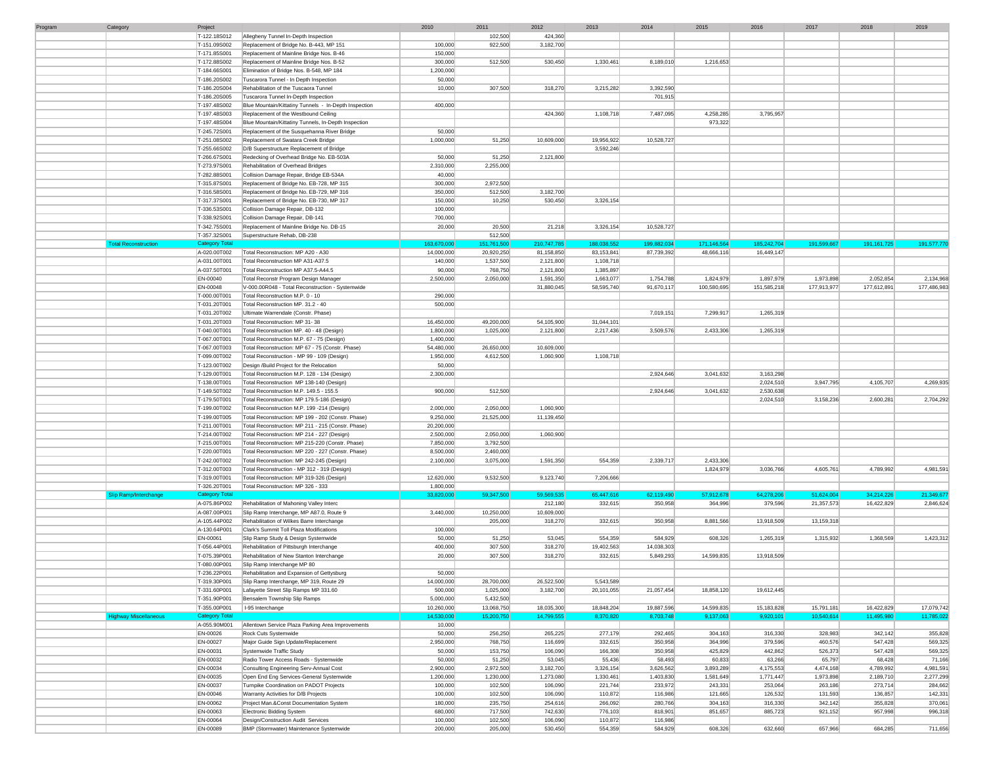| Program | Category                     | Project               |                                                       | 2010        | 2011        | 2012        | 2013         | 2014        | 2015        | 2016        | 2017        | 2018          | 2019        |
|---------|------------------------------|-----------------------|-------------------------------------------------------|-------------|-------------|-------------|--------------|-------------|-------------|-------------|-------------|---------------|-------------|
|         |                              | T-122.18S012          | Allegheny Tunnel In-Depth Inspection                  |             | 102,500     | 424,360     |              |             |             |             |             |               |             |
|         |                              | T-151.09S002          | Replacement of Bridge No. B-443, MP 151               | 100,000     | 922,500     | 3,182,700   |              |             |             |             |             |               |             |
|         |                              | T-171.85S001          | Replacement of Mainline Bridge Nos. B-46              | 150,000     |             |             |              |             |             |             |             |               |             |
|         |                              |                       |                                                       | 300,000     |             |             |              |             |             |             |             |               |             |
|         |                              | T-172.88S002          | Replacement of Mainline Bridge Nos. B-52              |             | 512,500     | 530,450     | 1,330,461    | 8,189,010   | 1,216,653   |             |             |               |             |
|         |                              | T-184.66S001          | Elimination of Bridge Nos. B-548, MP 184              | 1,200,000   |             |             |              |             |             |             |             |               |             |
|         |                              | T-186.20S002          | Tuscarora Tunnel - In Depth Inspection                | 50,000      |             |             |              |             |             |             |             |               |             |
|         |                              | T-186.20S004          | Rehabilitation of the Tuscaora Tunnel                 | 10,000      | 307,500     | 318,270     | 3,215,282    | 3,392,590   |             |             |             |               |             |
|         |                              | T-186.20S005          | Tuscarora Tunnel In-Depth Inspection                  |             |             |             |              | 701,915     |             |             |             |               |             |
|         |                              | T-197.48S002          | Blue Mountain/Kittatiny Tunnels - In-Depth Inspection | 400,000     |             |             |              |             |             |             |             |               |             |
|         |                              | T-197.48S003          | Replacement of the Westbound Ceiling                  |             |             | 424,360     | 1,108,718    | 7,487,095   | 4,258,285   | 3,795,957   |             |               |             |
|         |                              | T-197.48S004          | Blue Mountain/Kittatiny Tunnels, In-Depth Inspection  |             |             |             |              |             | 973,322     |             |             |               |             |
|         |                              | T-245.72S001          | Replacement of the Susquehanna River Bridge           | 50,000      |             |             |              |             |             |             |             |               |             |
|         |                              |                       |                                                       |             |             |             |              |             |             |             |             |               |             |
|         |                              | T-251.08S002          | Replacement of Swatara Creek Bridge                   | 1,000,000   | 51,250      | 10,609,000  | 19,956,922   | 10,528,727  |             |             |             |               |             |
|         |                              | T-255.66S002          | D/B Superstructure Replacement of Bridge              |             |             |             | 3,592,246    |             |             |             |             |               |             |
|         |                              | T-266.67S001          | Redecking of Overhead Bridge No. EB-503A              | 50,000      | 51,250      | 2,121,800   |              |             |             |             |             |               |             |
|         |                              | T-273.97S001          | Rehabilitation of Overhead Bridges                    | 2,310,000   | 2,255,000   |             |              |             |             |             |             |               |             |
|         |                              | T-282.88S001          | Collision Damage Repair, Bridge EB-534A               | 40,000      |             |             |              |             |             |             |             |               |             |
|         |                              | T-315.87S001          | Replacement of Bridge No. EB-728, MP 315              | 300,000     | 2,972,500   |             |              |             |             |             |             |               |             |
|         |                              | T-316.58S001          | Replacement of Bridge No. EB-729, MP 316              | 350,000     | 512,500     | 3,182,700   |              |             |             |             |             |               |             |
|         |                              |                       | Replacement of Bridge No. EB-730, MP 317              |             |             | 530,450     | 3,326,154    |             |             |             |             |               |             |
|         |                              | T-317.37S001          |                                                       | 150,000     | 10,250      |             |              |             |             |             |             |               |             |
|         |                              | T-336.53S001          | Collision Damage Repair, DB-132                       | 100,000     |             |             |              |             |             |             |             |               |             |
|         |                              | T-338.92S001          | Collision Damage Repair, DB-141                       | 700,000     |             |             |              |             |             |             |             |               |             |
|         |                              | T-342.75S001          | Replacement of Mainline Bridge No. DB-15              | 20,000      | 20,500      | 21,218      | 3,326,154    | 10,528,727  |             |             |             |               |             |
|         |                              | T-357.32S001          | Superstructure Rehab, DB-238                          |             | 512,500     |             |              |             |             |             |             |               |             |
|         | <b>Total Reconstruction</b>  | Category Tota         |                                                       | 163,670,000 | 151,761,500 | 210,747,785 | 188,038,552  | 199,882,034 | 171,146,564 | 185,242,704 | 191,599,667 | 191, 161, 725 | 191,577,770 |
|         |                              | A-020.00T002          | Total Reconstruction: MP A20 - A30                    | 14,000,000  | 20,920,250  | 81,158,850  | 83, 153, 841 | 87,739,392  | 48,666,116  | 16,449,147  |             |               |             |
|         |                              | A-031.00T001          | Total Reconstruction MP A31-A37.5                     | 140,000     | 1,537,500   | 2,121,800   | 1,108,718    |             |             |             |             |               |             |
|         |                              | A-037.50T001          | Total Reconstruction MP A37.5-A44.5                   | 90,000      | 768,750     | 2,121,800   | 1,385,897    |             |             |             |             |               |             |
|         |                              |                       |                                                       |             |             |             |              |             |             |             |             |               |             |
|         |                              | EN-00040              | Total Reconstr Program Design Manager                 | 2,500,000   | 2,050,000   | 1,591,350   | 1,663,077    | 1,754,788   | 1,824,979   | 1,897,979   | 1,973,898   | 2,052,854     | 2,134,968   |
|         |                              | EN-00048              | V-000.00R048 - Total Reconstruction - Systemwide      |             |             | 31,880,045  | 58,595,740   | 91,670,117  | 100,580,695 | 151,585,218 | 177,913,977 | 177,612,891   | 177,486,983 |
|         |                              | T-000.00T001          | Total Reconstruction M.P. 0 - 10                      | 290,000     |             |             |              |             |             |             |             |               |             |
|         |                              | T-031.20T001          | Total Reconstruction MP. 31.2 - 40                    | 500,000     |             |             |              |             |             |             |             |               |             |
|         |                              | T-031.20T002          | Ultimate Warrendale (Constr. Phase)                   |             |             |             |              | 7,019,151   | 7.299.917   | 1,265,319   |             |               |             |
|         |                              | T-031.20T003          | Total Reconstruction: MP 31-38                        | 16,450,000  | 49,200,000  | 54,105,900  | 31,044,101   |             |             |             |             |               |             |
|         |                              | T-040.00T001          | Total Reconstruction MP. 40 - 48 (Design)             | 1,800,000   | 1,025,000   | 2,121,800   | 2,217,436    | 3,509,576   | 2,433,306   | 1,265,319   |             |               |             |
|         |                              |                       |                                                       |             |             |             |              |             |             |             |             |               |             |
|         |                              | T-067.00T001          | Total Reconstruction M.P. 67 - 75 (Design)            | 1,400,000   |             |             |              |             |             |             |             |               |             |
|         |                              | T-067.00T003          | Total Reconstruction: MP 67 - 75 (Constr. Phase)      | 54,480,000  | 26,650,000  | 10,609,000  |              |             |             |             |             |               |             |
|         |                              | T-099.00T002          | Total Reconstruction - MP 99 - 109 (Design)           | 1,950,000   | 4,612,500   | 1,060,900   | 1,108,718    |             |             |             |             |               |             |
|         |                              | T-123.00T002          | Design /Build Project for the Relocation              | 50,000      |             |             |              |             |             |             |             |               |             |
|         |                              | T-129.00T001          | Total Reconstruction M.P. 128 - 134 (Design)          | 2,300,000   |             |             |              | 2,924,646   | 3,041,632   | 3,163,298   |             |               |             |
|         |                              | T-138.00T001          | Total Reconstruction MP 138-140 (Design)              |             |             |             |              |             |             | 2,024,510   | 3,947,795   | 4,105,707     | 4,269,935   |
|         |                              | T-149.50T002          | Total Reconstruction M.P. 149.5 - 155.5               | 900,000     | 512,500     |             |              | 2,924,646   | 3,041,632   | 2,530,638   |             |               |             |
|         |                              |                       |                                                       |             |             |             |              |             |             |             |             |               |             |
|         |                              | T-179.50T001          | Total Reconstruction: MP 179.5-186 (Design)           |             |             |             |              |             |             | 2,024,510   | 3,158,236   | 2,600,281     | 2,704,292   |
|         |                              | T-199.00T002          | Total Reconstruction M.P. 199 -214 (Design)           | 2,000,000   | 2,050,000   | 1,060,900   |              |             |             |             |             |               |             |
|         |                              | T-199.00T005          | Total Reconstruction: MP 199 - 202 (Constr. Phase)    | 9,250,000   | 21,525,000  | 11,139,450  |              |             |             |             |             |               |             |
|         |                              | T-211.00T001          | Total Reconstruction: MP 211 - 215 (Constr. Phase)    | 20,200,000  |             |             |              |             |             |             |             |               |             |
|         |                              | T-214.00T002          | Total Reconstruction: MP 214 - 227 (Design)           | 2,500,000   | 2,050,000   | 1,060,900   |              |             |             |             |             |               |             |
|         |                              | T-215.00T001          | Total Reconstruction: MP 215-220 (Constr. Phase)      | 7,850,000   | 3,792,500   |             |              |             |             |             |             |               |             |
|         |                              | T-220.00T001          | Total Reconstruction: MP 220 - 227 (Constr. Phase)    | 8,500,000   | 2,460,000   |             |              |             |             |             |             |               |             |
|         |                              | T-242.00T002          | Total Reconstruction: MP 242-245 (Design)             | 2,100,000   | 3,075,000   | 1,591,350   | 554,359      | 2,339,717   | 2,433,306   |             |             |               |             |
|         |                              |                       |                                                       |             |             |             |              |             |             |             |             |               |             |
|         |                              | T-312.00T003          | Total Reconstruction - MP 312 - 319 (Design)          |             |             |             |              |             | 1,824,979   | 3,036,766   | 4,605,761   | 4,789,992     | 4,981,591   |
|         |                              | T-319.00T001          | Total Reconstruction: MP 319-326 (Design)             | 12,620,000  | 9,532,500   | 9,123,740   | 7,206,666    |             |             |             |             |               |             |
|         |                              | T-326.20T001          | Total Reconstruction: MP 326 - 333                    | 1,800,000   |             |             |              |             |             |             |             |               |             |
|         | Slip Ramp/Interchange        | <b>Category Tota</b>  |                                                       | 33,820,000  | 59,347,500  | 59,569,535  | 65,447,616   | 62,119,490  | 57,912,678  | 64,278,206  | 51,624,004  | 34,214,226    | 21,349,677  |
|         |                              | A-075.86P002          | Rehabilitation of Mahoning Valley Interc              |             |             | 212,180     | 332,615      | 350,958     | 364,996     | 379,596     | 21,357,573  | 16,422,829    | 2,846,624   |
|         |                              | A-087.00P001          | Slip Ramp Interchange, MP A87.0, Route 9              | 3,440,000   | 10,250,000  | 10,609,000  |              |             |             |             |             |               |             |
|         |                              | A-105.44P002          | Rehabilitation of Wilkes Barre Interchange            |             | 205,000     | 318,270     | 332,615      | 350,958     | 8,881,566   | 13,918,509  | 13,159,318  |               |             |
|         |                              | A-130.64P001          | Clark's Summit Toll Plaza Modifications               | 100,000     |             |             |              |             |             |             |             |               |             |
|         |                              |                       |                                                       |             |             |             |              |             |             |             |             |               |             |
|         |                              | EN-00061              | Slip Ramp Study & Design Systemwide                   | 50,000      | 51,250      | 53,045      | 554,359      | 584,929     | 608,326     | 1,265,319   | 1,315,932   | 1,368,569     | 1,423,312   |
|         |                              | T-056.44P001          | Rehabilitation of Pittsburgh Interchange              | 400,000     | 307,500     | 318,270     | 19,402,563   | 14,038,303  |             |             |             |               |             |
|         |                              | T-075.39P001          | Rehabilitation of New Stanton Interchange             | 20,000      | 307,500     | 318,270     | 332,615      | 5,849,293   | 14,599,835  | 13,918,509  |             |               |             |
|         |                              | T-080.00P001          | Slip Ramp Interchange MP 80                           |             |             |             |              |             |             |             |             |               |             |
|         |                              | T-236.22P001          | Rehabilitation and Expansion of Gettysburg            | 50,000      |             |             |              |             |             |             |             |               |             |
|         |                              | T-319.30P001          | Slip Ramp Interchange, MP 319, Route 29               | 14,000,000  | 28,700,000  | 26,522,500  | 5,543,589    |             |             |             |             |               |             |
|         |                              | T-331.60P001          | Lafayette Street Slip Ramps MP 331.60                 | 500,000     | 1,025,000   | 3,182,700   | 20,101,055   | 21,057,454  | 18,858,120  | 19,612,445  |             |               |             |
|         |                              |                       |                                                       | 5,000,000   | 5,432,500   |             |              |             |             |             |             |               |             |
|         |                              | T-351.90P001          | Bensalem Township Slip Ramps                          |             |             |             |              |             |             |             |             |               |             |
|         |                              | T-355.00P001          | I-95 Interchange                                      | 10,260,000  | 13,068,750  | 18,035,300  | 18,848,204   | 19,887,596  | 14,599,835  | 15,183,828  | 15,791,181  | 16,422,829    | 17,079,742  |
|         | <b>Highway Miscellaneous</b> | <b>Category Total</b> |                                                       | 14,530,000  | 15,200,750  | 14,799,555  | 8,370,820    | 8,703,748   | 9,137,063   | 9,920,101   | 10,540,614  | 11,495,980    | 11,785,022  |
|         |                              | A-055.90M001          | Allentown Service Plaza Parking Area Improvements     | 10,000      |             |             |              |             |             |             |             |               |             |
|         |                              | EN-00026              | Rock Cuts Systemwide                                  | 50,000      | 256,250     | 265,225     | 277,179      | 292,465     | 304,163     | 316,330     | 328,983     | 342,142       | 355,828     |
|         |                              | EN-00027              | Major Guide Sign Update/Replacement                   | 2,950,000   | 768,750     | 116,699     | 332,615      | 350,958     | 364,996     | 379,596     | 460,576     | 547,428       | 569,325     |
|         |                              | EN-00031              | Systemwide Traffic Study                              | 50,000      | 153,750     | 106,090     | 166,308      | 350,958     | 425,829     | 442,862     | 526,373     | 547,428       | 569,325     |
|         |                              | EN-00032              | Radio Tower Access Roads - Systemwide                 | 50,000      | 51,250      | 53,045      | 55,436       | 58,493      | 60,833      | 63,266      | 65,797      | 68,428        | 71,166      |
|         |                              |                       |                                                       |             |             |             |              |             |             |             |             |               |             |
|         |                              | EN-00034              | Consulting Engineering Serv-Annual Cost               | 2,900,000   | 2,972,500   | 3,182,700   | 3,326,154    | 3,626,562   | 3,893,289   | 4,175,553   | 4,474,168   | 4,789,992     | 4,981,591   |
|         |                              | EN-00035              | Open End Eng Services-General Systemwide              | 1,200,000   | 1,230,000   | 1,273,080   | 1,330,461    | 1,403,830   | 1,581,649   | 1,771,447   | 1,973,898   | 2,189,710     | 2,277,299   |
|         |                              | EN-00037              | Turnpike Coordination on PADOT Projects               | 100,000     | 102,500     | 106,090     | 221,744      | 233,972     | 243,331     | 253,064     | 263,186     | 273,714       | 284,662     |
|         |                              | EN-00046              | Warranty Activities for D/B Projects                  | 100,000     | 102,500     | 106,090     | 110,872      | 116,986     | 121,665     | 126,532     | 131,593     | 136,857       | 142,331     |
|         |                              | EN-00062              | Project Man.&Const Documentation System               | 180,000     | 235,750     | 254,616     | 266,092      | 280,766     | 304,163     | 316,330     | 342,142     | 355,828       | 370,061     |
|         |                              | EN-00063              | Electronic Bidding System                             | 680,000     | 717,500     | 742,630     | 776,103      | 818,901     | 851,657     | 885,723     | 921,152     | 957,998       | 996,318     |
|         |                              | EN-00064              | Design/Construction Audit Services                    | 100,000     | 102,500     | 106,090     | 110,872      | 116,986     |             |             |             |               |             |
|         |                              | EN-00089              | BMP (Stormwater) Maintenance Systemwide               | 200,000     |             |             |              |             |             |             |             |               |             |
|         |                              |                       |                                                       |             | 205,000     | 530,450     | 554,359      | 584,929     | 608,326     | 632,660     | 657,966     | 684,285       | 711,656     |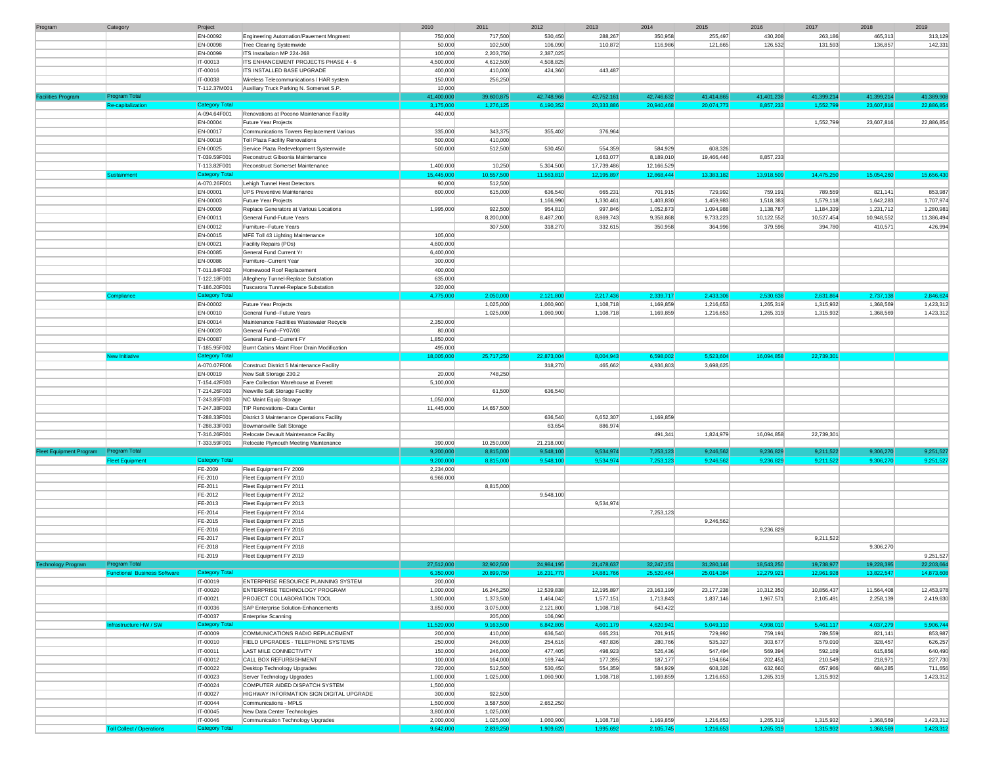| Program                        | Category                            | Project                           |                                                                 | 2010                   | 2011                   | 2012                   | 2013                   | 2014                   | 2015                   | 2016                   | 2017                   | 2018                   | 2019                                                                                                                               |
|--------------------------------|-------------------------------------|-----------------------------------|-----------------------------------------------------------------|------------------------|------------------------|------------------------|------------------------|------------------------|------------------------|------------------------|------------------------|------------------------|------------------------------------------------------------------------------------------------------------------------------------|
|                                |                                     | EN-00092                          | Engineering Automation/Pavement Mngment                         | 750,000                | 717,500                | 530,450                | 288,267                | 350,958                | 255,497                | 430,208                | 263,186                | 465,313                | 313,129                                                                                                                            |
|                                |                                     | EN-00098                          | Tree Clearing Systemwide                                        | 50,000                 | 102,500                | 106,090                | 110,872                | 116,986                | 121,665                | 126,532                | 131,593                | 136,857                | 142,331                                                                                                                            |
|                                |                                     | EN-00099                          | ITS Installation MP 224-268                                     | 100,000                | 2,203,750              | 2,387,025              |                        |                        |                        |                        |                        |                        |                                                                                                                                    |
|                                |                                     | IT-00013                          | ITS ENHANCEMENT PROJECTS PHASE 4 - 6                            | 4,500,000              | 4,612,500              | 4,508,825              |                        |                        |                        |                        |                        |                        |                                                                                                                                    |
|                                |                                     | IT-00016                          | ITS INSTALLED BASE UPGRADE                                      | 400,000                | 410,000                | 424,360                | 443,487                |                        |                        |                        |                        |                        |                                                                                                                                    |
|                                |                                     | IT-00038                          | Wireless Telecommunications / HAR system                        | 150,000                | 256,250                |                        |                        |                        |                        |                        |                        |                        |                                                                                                                                    |
|                                |                                     | T-112.37M001                      | Auxiliary Truck Parking N. Somerset S.P.                        | 10,000                 |                        |                        |                        |                        |                        |                        |                        |                        |                                                                                                                                    |
| <b>Facilities Program</b>      | Program Total                       |                                   |                                                                 | 41,400,000             | 39,600,875             | 42,748,966             | 42,752,161             | 42,746,632             | 41,414,865             | 41,401,238             | 41,399,214             | 41,399,214             | 41,389,90                                                                                                                          |
|                                | Re-capitalization                   | <b>Category Total</b>             |                                                                 | 3,175,000              | 1,276,125              | 6,190,352              | 20,333,886             | 20,940,468             | 20,074,773             | 8,857,233              | 1,552,799              | 23,607,816             | 22,886,85                                                                                                                          |
|                                |                                     | A-094.64F001                      | Renovations at Pocono Maintenance Facility                      | 440,000                |                        |                        |                        |                        |                        |                        |                        |                        |                                                                                                                                    |
|                                |                                     | EN-00004                          | Future Year Projects                                            |                        |                        |                        |                        |                        |                        |                        | 1,552,799              | 23,607,816             | 22,886,854                                                                                                                         |
|                                |                                     | EN-00017                          | Communications Towers Replacement Various                       | 335,000                | 343,375                | 355,402                | 376,964                |                        |                        |                        |                        |                        |                                                                                                                                    |
|                                |                                     | EN-00018                          | Toll Plaza Facility Renovations                                 | 500,000                | 410,000                |                        |                        |                        |                        |                        |                        |                        |                                                                                                                                    |
|                                |                                     | EN-00025                          | Service Plaza Redevelopment Systemwide                          | 500,000                | 512,500                | 530,450                | 554,359                | 584,929                | 608,326                |                        |                        |                        |                                                                                                                                    |
|                                |                                     | T-039.59F001                      | Reconstruct Gibsonia Maintenance                                |                        |                        |                        | 1,663,077              | 8,189,010              | 19,466,446             | 8,857,233              |                        |                        |                                                                                                                                    |
|                                |                                     | T-113.82F001                      | Reconstruct Somerset Maintenance                                | 1,400,000              | 10,250                 | 5,304,500              | 17,739,486             | 12,166,529             |                        |                        |                        |                        |                                                                                                                                    |
|                                | <b>Sustainment</b>                  | <b>Category Total</b>             |                                                                 | 15,445,000             | 10,557,500             | 11,563,810             | 12,195,897             | 12,868,444             | 13,383,182             | 13,918,509             | 14,475,250             | 15,054,260             | 15,656,430                                                                                                                         |
|                                |                                     | A-070.26F001                      | Lehigh Tunnel Heat Detectors                                    | 90,000                 | 512,500                |                        |                        |                        |                        |                        |                        |                        |                                                                                                                                    |
|                                |                                     | EN-00001                          | <b>UPS Preventive Maintenance</b>                               | 600,000                | 615,000                | 636,540                | 665,231                | 701,915                | 729,992                | 759,191                | 789,559                | 821,141                | 853,987                                                                                                                            |
|                                |                                     | EN-00003                          |                                                                 |                        |                        | 1,166,990              | 1,330,461              | 1,403,830              | 1,459,983              | 1,518,383              | 1,579,118              | 1,642,283              | 1,707,974                                                                                                                          |
|                                |                                     | EN-00009                          | Future Year Projects<br>Replace Generators at Various Locations | 1,995,000              | 922,500                | 954,810                | 997,846                | 1,052,873              | 1,094,988              | 1,138,787              | 1,184,339              | 1,231,712              | 1,280,981                                                                                                                          |
|                                |                                     |                                   |                                                                 |                        |                        |                        |                        |                        |                        |                        |                        |                        |                                                                                                                                    |
|                                |                                     | EN-00011                          | General Fund-Future Years                                       |                        | 8,200,000              | 8,487,200              | 8,869,743              | 9,358,868              | 9,733,223              | 10,122,552             | 10,527,454             | 10,948,552             | 11,386,494                                                                                                                         |
|                                |                                     | EN-00012                          | Furniture--Future Years                                         |                        | 307,500                | 318,270                | 332,615                | 350,958                | 364,996                | 379,596                | 394,780                | 410,571                | 426,994                                                                                                                            |
|                                |                                     | EN-00015                          | MFE Toll 43 Lighting Maintenance                                | 105,000                |                        |                        |                        |                        |                        |                        |                        |                        |                                                                                                                                    |
|                                |                                     | EN-00021                          | Facility Repairs (POs)                                          | 4,600,000              |                        |                        |                        |                        |                        |                        |                        |                        |                                                                                                                                    |
|                                |                                     | EN-00085                          | General Fund Current Yr                                         | 6,400,000              |                        |                        |                        |                        |                        |                        |                        |                        |                                                                                                                                    |
|                                |                                     | EN-00086                          | Furniture--Current Year                                         | 300,000                |                        |                        |                        |                        |                        |                        |                        |                        |                                                                                                                                    |
|                                |                                     | T-011.84F002                      | Homewood Roof Replacement                                       | 400,000                |                        |                        |                        |                        |                        |                        |                        |                        |                                                                                                                                    |
|                                |                                     | T-122.18F001                      | Allegheny Tunnel-Replace Substation                             | 635,000                |                        |                        |                        |                        |                        |                        |                        |                        |                                                                                                                                    |
|                                |                                     | T-186.20F001                      | Tuscarora Tunnel-Replace Substation                             | 320,000                |                        |                        |                        |                        |                        |                        |                        |                        |                                                                                                                                    |
|                                | Compliance                          | <b>Category Tota</b>              |                                                                 | 4,775,000              | 2,050,000              | 2,121,800              | 2,217,436              | 2,339,717              | 2,433,306              | 2,530,638              | 2,631,864              | 2,737,138              | 2.846.62                                                                                                                           |
|                                |                                     | EN-00002                          | Future Year Projects                                            |                        | 1,025,000              | 1,060,900              | 1,108,718              | 1,169,859              | 1,216,653              | 1,265,319              | 1,315,932              | 1,368,569              | 1,423,312                                                                                                                          |
|                                |                                     | EN-00010                          | General Fund -- Future Years                                    |                        | 1,025,000              | 1,060,900              | 1,108,718              | 1,169,859              | 1,216,653              | 1,265,319              | 1,315,932              | 1,368,569              | 1,423,312                                                                                                                          |
|                                |                                     | EN-00014                          | Maintenance Facilities Wastewater Recycle                       | 2,350,000              |                        |                        |                        |                        |                        |                        |                        |                        |                                                                                                                                    |
|                                |                                     | EN-00020                          | General Fund--FY07/08                                           | 80,000                 |                        |                        |                        |                        |                        |                        |                        |                        |                                                                                                                                    |
|                                |                                     | EN-00087                          | General Fund--Current FY                                        | 1,850,000              |                        |                        |                        |                        |                        |                        |                        |                        |                                                                                                                                    |
|                                |                                     | T-185.95F002                      | Burnt Cabins Maint Floor Drain Modification                     | 495,000                |                        |                        |                        |                        |                        |                        |                        |                        |                                                                                                                                    |
|                                | New Initiative                      | <b>Category Total</b>             |                                                                 | 18,005,000             | 25,717,250             | 22,873,004             | 8,004,943              | 6,598,002              | 5,523,604              | 16,094,858             | 22,739,301             |                        |                                                                                                                                    |
|                                |                                     | A-070.07F006                      | Construct District 5 Maintenance Facility                       |                        |                        | 318,270                | 465,662                | 4,936,803              | 3,698,625              |                        |                        |                        |                                                                                                                                    |
|                                |                                     | EN-00019                          | New Salt Storage 230.2                                          | 20,000                 | 748,250                |                        |                        |                        |                        |                        |                        |                        |                                                                                                                                    |
|                                |                                     | T-154.42F003                      | Fare Collection Warehouse at Everett                            | 5,100,000              |                        |                        |                        |                        |                        |                        |                        |                        |                                                                                                                                    |
|                                |                                     | T-214.26F003                      | Newville Salt Storage Facility                                  |                        | 61,500                 | 636,540                |                        |                        |                        |                        |                        |                        |                                                                                                                                    |
|                                |                                     | T-243.85F003                      | NC Maint Equip Storage                                          | 1,050,000              |                        |                        |                        |                        |                        |                        |                        |                        |                                                                                                                                    |
|                                |                                     | T-247.38F003                      | TIP Renovations--Data Center                                    | 11,445,000             | 14,657,500             |                        |                        |                        |                        |                        |                        |                        |                                                                                                                                    |
|                                |                                     | T-288.33F001                      | District 3 Maintenance Operations Facility                      |                        |                        | 636,540                | 6,652,307              | 1,169,859              |                        |                        |                        |                        |                                                                                                                                    |
|                                |                                     | T-288.33F003                      | Bowmansville Salt Storage                                       |                        |                        | 63,654                 | 886,974                |                        |                        |                        |                        |                        |                                                                                                                                    |
|                                |                                     | T-316.26F001                      | Relocate Devault Maintenance Facility                           |                        |                        |                        |                        | 491,341                | 1,824,979              | 16,094,858             | 22,739,301             |                        |                                                                                                                                    |
|                                |                                     | T-333.59F001                      | Relocate Plymouth Meeting Maintenance                           | 390,000                | 10,250,000             | 21,218,000             |                        |                        |                        |                        |                        |                        |                                                                                                                                    |
| <b>Fleet Equipment Program</b> | <b>Program Total</b>                |                                   |                                                                 | 9,200,000              | 8,815,000              | 9,548,100              | 9,534,974              | 7,253,123              | 9,246,562              | 9,236,829              | 9,211,522              | 9,306,270              | 9,251,52                                                                                                                           |
|                                | <b>Fleet Equipment</b>              | Category Total                    |                                                                 | 9,200,000              | 8,815,000              | 9,548,100              | 9,534,974              | 7,253,123              | 9,246,562              |                        |                        |                        |                                                                                                                                    |
|                                |                                     | FE-2009                           | Fleet Equipment FY 2009                                         |                        |                        |                        |                        |                        |                        | 9,236,829              | 9,211,522              | 9,306,270              | 9,251,52                                                                                                                           |
|                                |                                     |                                   |                                                                 | 2,234,000              |                        |                        |                        |                        |                        |                        |                        |                        |                                                                                                                                    |
|                                |                                     | FE-2010                           | Fleet Equipment FY 2010                                         | 6,966,000              |                        |                        |                        |                        |                        |                        |                        |                        |                                                                                                                                    |
|                                |                                     | FE-2011                           | Fleet Equipment FY 2011                                         |                        | 8,815,000              |                        |                        |                        |                        |                        |                        |                        |                                                                                                                                    |
|                                |                                     | FE-2012                           |                                                                 |                        |                        | 9,548,100              |                        |                        |                        |                        |                        |                        |                                                                                                                                    |
|                                |                                     | FE-2013                           | Fleet Equipment FY 2012<br>Fleet Equipment FY 2013              |                        |                        |                        | 9,534,974              |                        |                        |                        |                        |                        |                                                                                                                                    |
|                                |                                     | FE-2014                           | Fleet Equipment FY 2014                                         |                        |                        |                        |                        | 7,253,123              |                        |                        |                        |                        |                                                                                                                                    |
|                                |                                     | FE-2015                           | Fleet Equipment FY 2015                                         |                        |                        |                        |                        |                        | 9,246,562              |                        |                        |                        |                                                                                                                                    |
|                                |                                     |                                   |                                                                 |                        |                        |                        |                        |                        |                        | 9,236,829              |                        |                        |                                                                                                                                    |
|                                |                                     | FE-2016<br>FE-2017                | Fleet Equipment FY 2016<br>Fleet Equipment FY 2017              |                        |                        |                        |                        |                        |                        |                        | 9,211,522              |                        |                                                                                                                                    |
|                                |                                     |                                   |                                                                 |                        |                        |                        |                        |                        |                        |                        |                        | 9,306,270              |                                                                                                                                    |
|                                |                                     | FE-2018                           | Fleet Equipment FY 2018                                         |                        |                        |                        |                        |                        |                        |                        |                        |                        |                                                                                                                                    |
|                                | Program Total                       | FE-2019                           | Fleet Equipment FY 2019                                         |                        |                        |                        |                        |                        |                        |                        |                        |                        | 9,251,527                                                                                                                          |
| <b>Technology Program</b>      |                                     |                                   |                                                                 | 27,512,000             | 32,902,500             | 24,984,195             | 21,478,637             | 32,247,151             | 31,280,146             | 18,543,250             | 19,738,977             | 19,228,395             | 22,203,664                                                                                                                         |
|                                | <b>Functional Business Software</b> | Category Total                    |                                                                 | 6,350,000              | 20,899,750             | 16,231,770             | 14,881,766             | 25,520,464             | 25,014,384             | 12,279,921             | 12,961,928             | 13,822,547             | 14,873,608                                                                                                                         |
|                                |                                     | IT-00019                          | ENTERPRISE RESOURCE PLANNING SYSTEM                             | 200,000                |                        |                        |                        |                        |                        |                        |                        |                        |                                                                                                                                    |
|                                |                                     | IT-00020                          | ENTERPRISE TECHNOLOGY PROGRAM                                   | 1,000,000              | 16,246,250             | 12,539,838             | 12,195,897             | 23,163,199             | 23,177,238             | 10,312,350             | 10,856,437             | 11,564,408             |                                                                                                                                    |
|                                |                                     | IT-00021                          | PROJECT COLLABORATION TOOL                                      | 1,300,000              | 1,373,500              | 1,464,042              | 1,577,151              | 1,713,843              | 1,837,146              | 1,967,571              | 2,105,491              | 2,258,139              |                                                                                                                                    |
|                                |                                     | IT-00036                          | SAP Enterprise Solution-Enhancements                            | 3,850,000              | 3,075,000              | 2,121,800              | 1,108,718              | 643,422                |                        |                        |                        |                        |                                                                                                                                    |
|                                |                                     | IT-00037                          | <b>Enterprise Scanning</b>                                      |                        | 205,000                | 106,090                |                        |                        |                        |                        |                        |                        |                                                                                                                                    |
|                                | Infrastructure HW / SW              | <b>Category Total</b>             |                                                                 | 11,520,000             | 9,163,500              | 6,842,805              | 4,601,179              | 4,620,941              | 5,049,110              | 4,998,010              | 5,461,117              | 4,037,279              |                                                                                                                                    |
|                                |                                     | IT-00009                          | COMMUNICATIONS RADIO REPLACEMENT                                | 200,000                | 410,000                | 636,540                | 665,231                | 701,915                | 729,992                | 759,191                | 789,559                | 821,141                |                                                                                                                                    |
|                                |                                     | IT-00010                          | FIELD UPGRADES - TELEPHONE SYSTEMS                              | 250,000                | 246,000                | 254,616                | 487,836                | 280,766                | 535,327                | 303,677                | 579,010                | 328,457                |                                                                                                                                    |
|                                |                                     | IT-00011                          | LAST MILE CONNECTIVITY                                          | 150,000                | 246,000                | 477,405                | 498,923                | 526,436                | 547,494                | 569,394                | 592,169                | 615,856                |                                                                                                                                    |
|                                |                                     | IT-00012                          | CALL BOX REFURBISHMENT                                          | 100,000                | 164,000                | 169,744                | 177,395                | 187,177                | 194,664                | 202,451                | 210,549                | 218,971                |                                                                                                                                    |
|                                |                                     | IT-00022                          | Desktop Technology Upgrades                                     | 720,000                | 512,500                | 530,450                | 554,359                | 584,929                | 608,326                | 632,660                | 657,966                | 684,285                |                                                                                                                                    |
|                                |                                     | IT-00023                          | Server Technology Upgrades                                      | 1,000,000              | 1,025,000              | 1,060,900              | 1,108,718              | 1,169,859              | 1,216,653              | 1,265,319              | 1,315,932              |                        |                                                                                                                                    |
|                                |                                     | IT-00024                          | COMPUTER AIDED DISPATCH SYSTEM                                  | 1,500,000              |                        |                        |                        |                        |                        |                        |                        |                        |                                                                                                                                    |
|                                |                                     | IT-00027                          | HIGHWAY INFORMATION SIGN DIGITAL UPGRADE                        | 300,000                | 922,500                |                        |                        |                        |                        |                        |                        |                        |                                                                                                                                    |
|                                |                                     | IT-00044                          | Communications - MPLS                                           | 1,500,000              | 3,587,500              | 2,652,250              |                        |                        |                        |                        |                        |                        |                                                                                                                                    |
|                                |                                     | IT-00045                          | New Data Center Technologies                                    | 3,800,000              | 1,025,000              |                        |                        |                        |                        |                        |                        |                        |                                                                                                                                    |
|                                | <b>Toll Collect / Operations</b>    | IT-00046<br><b>Category Total</b> | Communication Technology Upgrades                               | 2,000,000<br>9,642,000 | 1,025,000<br>2,839,250 | 1,060,900<br>1,909,620 | 1,108,718<br>1,995,692 | 1,169,859<br>2,105,745 | 1,216,653<br>1,216,653 | 1,265,319<br>1,265,319 | 1,315,932<br>1,315,932 | 1,368,569<br>1,368,569 | 12,453,978<br>2,419,630<br>5,906,744<br>853,987<br>626,257<br>640,490<br>227,730<br>711,656<br>1,423,312<br>1,423,312<br>1,423,312 |